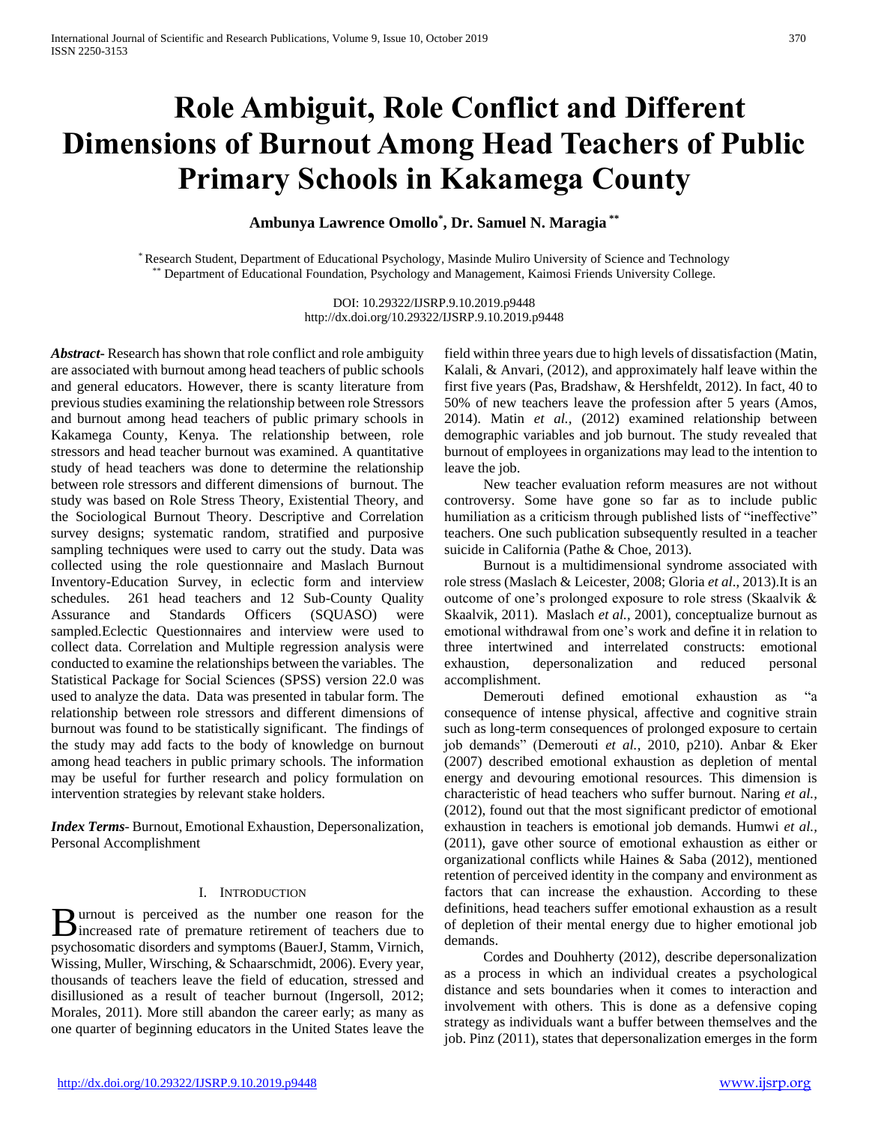# **Role Ambiguit, Role Conflict and Different Dimensions of Burnout Among Head Teachers of Public Primary Schools in Kakamega County**

**Ambunya Lawrence Omollo\* , Dr. Samuel N. Maragia \*\***

\* Research Student, Department of Educational Psychology, Masinde Muliro University of Science and Technology \*\* Department of Educational Foundation, Psychology and Management, Kaimosi Friends University College.

> DOI: 10.29322/IJSRP.9.10.2019.p9448 http://dx.doi.org/10.29322/IJSRP.9.10.2019.p9448

*Abstract***-** Research has shown that role conflict and role ambiguity are associated with burnout among head teachers of public schools and general educators. However, there is scanty literature from previous studies examining the relationship between role Stressors and burnout among head teachers of public primary schools in Kakamega County, Kenya. The relationship between, role stressors and head teacher burnout was examined. A quantitative study of head teachers was done to determine the relationship between role stressors and different dimensions of burnout. The study was based on Role Stress Theory, Existential Theory, and the Sociological Burnout Theory. Descriptive and Correlation survey designs; systematic random, stratified and purposive sampling techniques were used to carry out the study. Data was collected using the role questionnaire and Maslach Burnout Inventory-Education Survey, in eclectic form and interview schedules. 261 head teachers and 12 Sub-County Quality Assurance and Standards Officers (SQUASO) were sampled.Eclectic Questionnaires and interview were used to collect data. Correlation and Multiple regression analysis were conducted to examine the relationships between the variables. The Statistical Package for Social Sciences (SPSS) version 22.0 was used to analyze the data. Data was presented in tabular form. The relationship between role stressors and different dimensions of burnout was found to be statistically significant. The findings of the study may add facts to the body of knowledge on burnout among head teachers in public primary schools. The information may be useful for further research and policy formulation on intervention strategies by relevant stake holders.

*Index Terms*- Burnout, Emotional Exhaustion, Depersonalization, Personal Accomplishment

# I. INTRODUCTION

urnout is perceived as the number one reason for the **B** urnout is perceived as the number one reason for the increased rate of premature retirement of teachers due to psychosomatic disorders and symptoms (BauerJ, Stamm, Virnich, Wissing, Muller, Wirsching, & Schaarschmidt, 2006). Every year, thousands of teachers leave the field of education, stressed and disillusioned as a result of teacher burnout (Ingersoll, 2012; Morales, 2011). More still abandon the career early; as many as one quarter of beginning educators in the United States leave the

field within three years due to high levels of dissatisfaction (Matin, Kalali, & Anvari, (2012), and approximately half leave within the first five years (Pas, Bradshaw, & Hershfeldt, 2012). In fact, 40 to 50% of new teachers leave the profession after 5 years (Amos, 2014). Matin *et al.,* (2012) examined relationship between demographic variables and job burnout. The study revealed that burnout of employees in organizations may lead to the intention to leave the job.

 New teacher evaluation reform measures are not without controversy. Some have gone so far as to include public humiliation as a criticism through published lists of "ineffective" teachers. One such publication subsequently resulted in a teacher suicide in California (Pathe & Choe, 2013).

 Burnout is a multidimensional syndrome associated with role stress (Maslach & Leicester, 2008; Gloria *et al*., 2013).It is an outcome of one's prolonged exposure to role stress (Skaalvik & Skaalvik, 2011). Maslach *et al.*, 2001), conceptualize burnout as emotional withdrawal from one's work and define it in relation to three intertwined and interrelated constructs: emotional exhaustion, depersonalization and reduced personal accomplishment.

 Demerouti defined emotional exhaustion as "a consequence of intense physical, affective and cognitive strain such as long-term consequences of prolonged exposure to certain job demands" (Demerouti *et al.*, 2010, p210). Anbar & Eker (2007) described emotional exhaustion as depletion of mental energy and devouring emotional resources. This dimension is characteristic of head teachers who suffer burnout. Naring *et al.,* (2012), found out that the most significant predictor of emotional exhaustion in teachers is emotional job demands. Humwi *et al.,*  (2011), gave other source of emotional exhaustion as either or organizational conflicts while Haines & Saba (2012), mentioned retention of perceived identity in the company and environment as factors that can increase the exhaustion. According to these definitions, head teachers suffer emotional exhaustion as a result of depletion of their mental energy due to higher emotional job demands.

 Cordes and Douhherty (2012), describe depersonalization as a process in which an individual creates a psychological distance and sets boundaries when it comes to interaction and involvement with others. This is done as a defensive coping strategy as individuals want a buffer between themselves and the job. Pinz (2011), states that depersonalization emerges in the form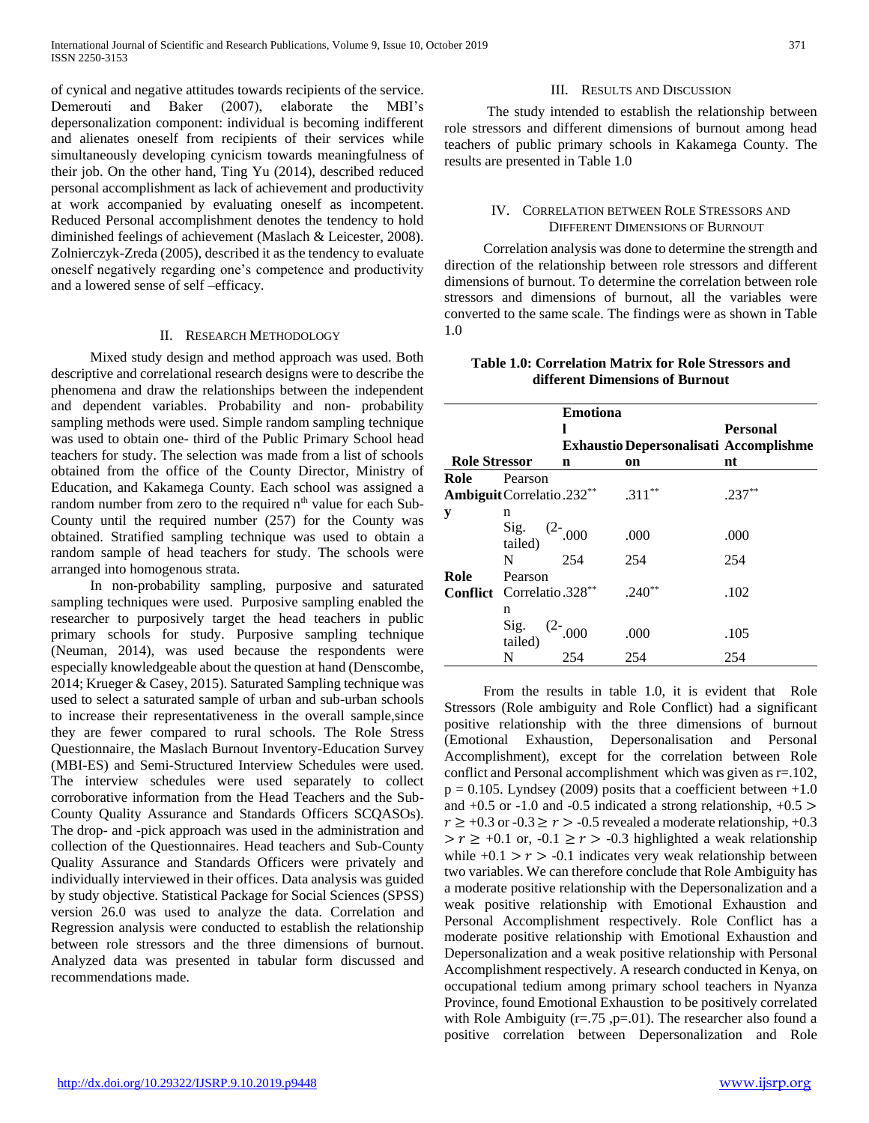of cynical and negative attitudes towards recipients of the service. Demerouti and Baker (2007), elaborate the MBI's depersonalization component: individual is becoming indifferent and alienates oneself from recipients of their services while simultaneously developing cynicism towards meaningfulness of their job. On the other hand, Ting Yu (2014), described reduced personal accomplishment as lack of achievement and productivity at work accompanied by evaluating oneself as incompetent. Reduced Personal accomplishment denotes the tendency to hold diminished feelings of achievement (Maslach & Leicester, 2008). Zolnierczyk-Zreda (2005), described it as the tendency to evaluate oneself negatively regarding one's competence and productivity and a lowered sense of self –efficacy.

## II. RESEARCH METHODOLOGY

 Mixed study design and method approach was used. Both descriptive and correlational research designs were to describe the phenomena and draw the relationships between the independent and dependent variables. Probability and non- probability sampling methods were used. Simple random sampling technique was used to obtain one- third of the Public Primary School head teachers for study. The selection was made from a list of schools obtained from the office of the County Director, Ministry of Education, and Kakamega County. Each school was assigned a random number from zero to the required  $n<sup>th</sup>$  value for each Sub-County until the required number (257) for the County was obtained. Stratified sampling technique was used to obtain a random sample of head teachers for study. The schools were arranged into homogenous strata.

 In non-probability sampling, purposive and saturated sampling techniques were used. Purposive sampling enabled the researcher to purposively target the head teachers in public primary schools for study. Purposive sampling technique (Neuman, 2014), was used because the respondents were especially knowledgeable about the question at hand (Denscombe, 2014; Krueger & Casey, 2015). Saturated Sampling technique was used to select a saturated sample of urban and sub-urban schools to increase their representativeness in the overall sample,since they are fewer compared to rural schools. The Role Stress Questionnaire, the Maslach Burnout Inventory-Education Survey (MBI-ES) and Semi-Structured Interview Schedules were used. The interview schedules were used separately to collect corroborative information from the Head Teachers and the Sub-County Quality Assurance and Standards Officers SCQASOs). The drop- and -pick approach was used in the administration and collection of the Questionnaires. Head teachers and Sub-County Quality Assurance and Standards Officers were privately and individually interviewed in their offices. Data analysis was guided by study objective. Statistical Package for Social Sciences (SPSS) version 26.0 was used to analyze the data. Correlation and Regression analysis were conducted to establish the relationship between role stressors and the three dimensions of burnout. Analyzed data was presented in tabular form discussed and recommendations made.

## III. RESULTS AND DISCUSSION

 The study intended to establish the relationship between role stressors and different dimensions of burnout among head teachers of public primary schools in Kakamega County. The results are presented in Table 1.0

# IV. CORRELATION BETWEEN ROLE STRESSORS AND DIFFERENT DIMENSIONS OF BURNOUT

 Correlation analysis was done to determine the strength and direction of the relationship between role stressors and different dimensions of burnout. To determine the correlation between role stressors and dimensions of burnout, all the variables were converted to the same scale. The findings were as shown in Table 1.0

| <b>Table 1.0: Correlation Matrix for Role Stressors and</b> |  |
|-------------------------------------------------------------|--|
| different Dimensions of Burnout                             |  |

|                      |                                   |             | <b>Exhaustio Depersonalisati Accomplishme</b> | <b>Personal</b> |
|----------------------|-----------------------------------|-------------|-----------------------------------------------|-----------------|
| <b>Role Stressor</b> |                                   | $\mathbf n$ | on                                            | nt              |
| Role                 | Pearson                           |             |                                               |                 |
|                      | Ambiguit Correlatio.232**         |             | $.311***$                                     | $.237**$        |
| y                    | n                                 |             |                                               |                 |
|                      | Sig. $(2-0.000)$<br>tailed)       |             | .000                                          | .000            |
|                      | N                                 | 254         | 254                                           | 254             |
| Role                 | Pearson                           |             |                                               |                 |
|                      | Conflict Correlatio.328**         |             | $.240**$                                      | .102            |
|                      | n                                 |             |                                               |                 |
|                      | Sig. $(2-0.000)$<br>tailed) $254$ |             | .000                                          | .105            |
|                      |                                   |             | 254                                           | 254             |

 From the results in table 1.0, it is evident that Role Stressors (Role ambiguity and Role Conflict) had a significant positive relationship with the three dimensions of burnout (Emotional Exhaustion, Depersonalisation and Personal Accomplishment), except for the correlation between Role conflict and Personal accomplishment which was given as r=.102,  $p = 0.105$ . Lyndsey (2009) posits that a coefficient between  $+1.0$ and  $+0.5$  or  $-1.0$  and  $-0.5$  indicated a strong relationship,  $+0.5$  >  $r \geq +0.3$  or  $-0.3 \geq r > -0.5$  revealed a moderate relationship,  $+0.3$  $> r \geq +0.1$  or,  $-0.1 \geq r > -0.3$  highlighted a weak relationship while  $+0.1 > r > -0.1$  indicates very weak relationship between two variables. We can therefore conclude that Role Ambiguity has a moderate positive relationship with the Depersonalization and a weak positive relationship with Emotional Exhaustion and Personal Accomplishment respectively. Role Conflict has a moderate positive relationship with Emotional Exhaustion and Depersonalization and a weak positive relationship with Personal Accomplishment respectively. A research conducted in Kenya, on occupational tedium among primary school teachers in Nyanza Province, found Emotional Exhaustion to be positively correlated with Role Ambiguity ( $r = .75$ ,  $p = .01$ ). The researcher also found a positive correlation between Depersonalization and Role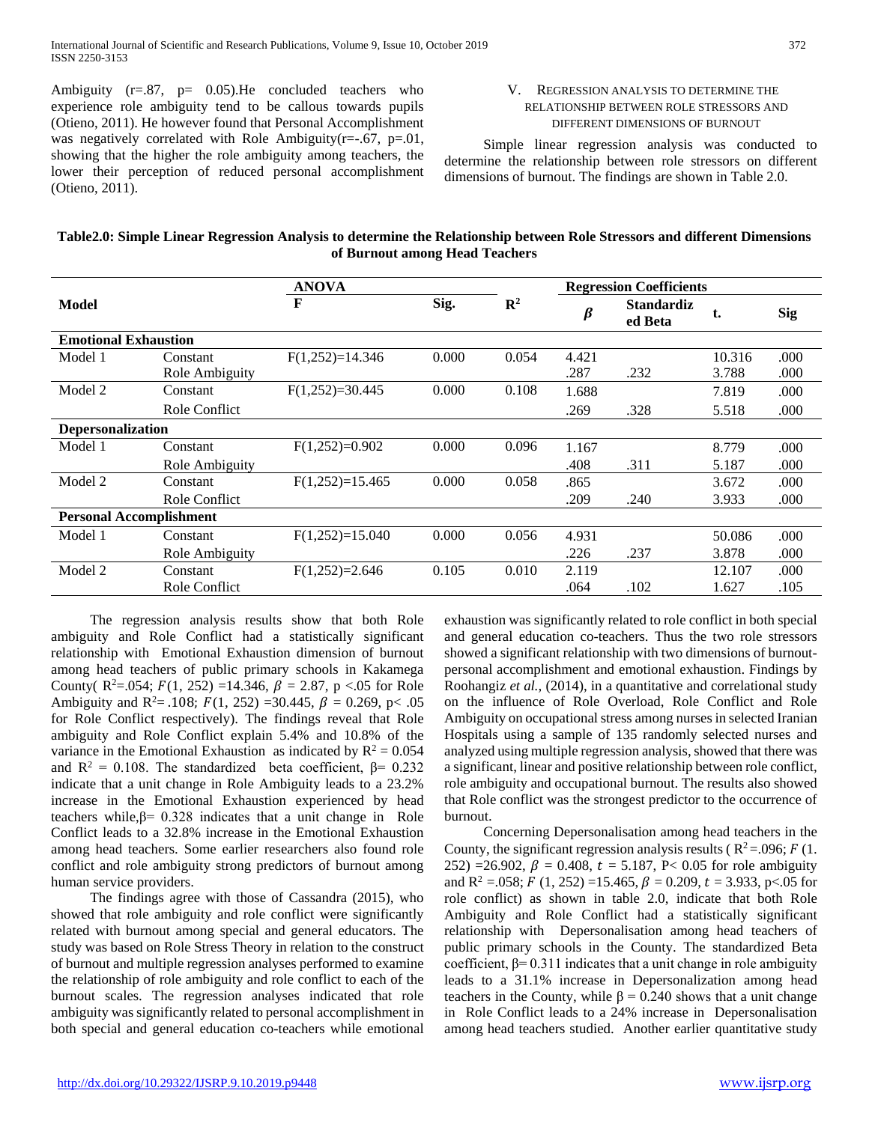Ambiguity  $(r=.87, p=.0.05)$ . He concluded teachers who experience role ambiguity tend to be callous towards pupils (Otieno, 2011). He however found that Personal Accomplishment was negatively correlated with Role Ambiguity(r=-.67, p=.01, showing that the higher the role ambiguity among teachers, the lower their perception of reduced personal accomplishment (Otieno, 2011).

# V. REGRESSION ANALYSIS TO DETERMINE THE RELATIONSHIP BETWEEN ROLE STRESSORS AND DIFFERENT DIMENSIONS OF BURNOUT

 Simple linear regression analysis was conducted to determine the relationship between role stressors on different dimensions of burnout. The findings are shown in Table 2.0.

| Table2.0: Simple Linear Regression Analysis to determine the Relationship between Role Stressors and different Dimensions |
|---------------------------------------------------------------------------------------------------------------------------|
| of Burnout among Head Teachers                                                                                            |

|                                |                | <b>ANOVA</b>      |       |                | <b>Regression Coefficients</b> |                              |        |            |
|--------------------------------|----------------|-------------------|-------|----------------|--------------------------------|------------------------------|--------|------------|
| <b>Model</b>                   |                | $\mathbf{F}$      | Sig.  | $\mathbb{R}^2$ | β                              | <b>Standardiz</b><br>ed Beta | t.     | <b>Sig</b> |
| <b>Emotional Exhaustion</b>    |                |                   |       |                |                                |                              |        |            |
| Model 1                        | Constant       | $F(1,252)=14.346$ | 0.000 | 0.054          | 4.421                          |                              | 10.316 | .000       |
|                                | Role Ambiguity |                   |       |                | .287                           | .232                         | 3.788  | .000       |
| Model 2                        | Constant       | $F(1,252)=30.445$ | 0.000 | 0.108          | 1.688                          |                              | 7.819  | .000       |
|                                | Role Conflict  |                   |       |                | .269                           | .328                         | 5.518  | .000       |
| <b>Depersonalization</b>       |                |                   |       |                |                                |                              |        |            |
| Model 1                        | Constant       | $F(1,252)=0.902$  | 0.000 | 0.096          | 1.167                          |                              | 8.779  | .000       |
|                                | Role Ambiguity |                   |       |                | .408                           | .311                         | 5.187  | .000       |
| Model 2                        | Constant       | $F(1,252)=15.465$ | 0.000 | 0.058          | .865                           |                              | 3.672  | .000       |
|                                | Role Conflict  |                   |       |                | .209                           | .240                         | 3.933  | .000       |
| <b>Personal Accomplishment</b> |                |                   |       |                |                                |                              |        |            |
| Model 1                        | Constant       | $F(1,252)=15.040$ | 0.000 | 0.056          | 4.931                          |                              | 50.086 | .000       |
|                                | Role Ambiguity |                   |       |                | .226                           | .237                         | 3.878  | .000       |
| Model 2                        | Constant       | $F(1,252)=2.646$  | 0.105 | 0.010          | 2.119                          |                              | 12.107 | .000       |
|                                | Role Conflict  |                   |       |                | .064                           | .102                         | 1.627  | .105       |

 The regression analysis results show that both Role ambiguity and Role Conflict had a statistically significant relationship with Emotional Exhaustion dimension of burnout among head teachers of public primary schools in Kakamega County(  $R^2 = .054$ ;  $F(1, 252) = 14.346$ ,  $\beta = 2.87$ , p <.05 for Role Ambiguity and R<sup>2</sup>= .108;  $F(1, 252)$  =30.445,  $\beta$  = 0.269, p< .05 for Role Conflict respectively). The findings reveal that Role ambiguity and Role Conflict explain 5.4% and 10.8% of the variance in the Emotional Exhaustion as indicated by  $R^2 = 0.054$ and  $R^2 = 0.108$ . The standardized beta coefficient,  $\beta = 0.232$ indicate that a unit change in Role Ambiguity leads to a 23.2% increase in the Emotional Exhaustion experienced by head teachers while, $\beta$ = 0.328 indicates that a unit change in Role Conflict leads to a 32.8% increase in the Emotional Exhaustion among head teachers. Some earlier researchers also found role conflict and role ambiguity strong predictors of burnout among human service providers.

 The findings agree with those of Cassandra (2015), who showed that role ambiguity and role conflict were significantly related with burnout among special and general educators. The study was based on Role Stress Theory in relation to the construct of burnout and multiple regression analyses performed to examine the relationship of role ambiguity and role conflict to each of the burnout scales. The regression analyses indicated that role ambiguity was significantly related to personal accomplishment in both special and general education co-teachers while emotional

exhaustion was significantly related to role conflict in both special and general education co-teachers. Thus the two role stressors showed a significant relationship with two dimensions of burnoutpersonal accomplishment and emotional exhaustion. Findings by Roohangiz *et al.,* (2014), in a quantitative and correlational study on the influence of Role Overload, Role Conflict and Role Ambiguity on occupational stress among nurses in selected Iranian Hospitals using a sample of 135 randomly selected nurses and analyzed using multiple regression analysis, showed that there was a significant, linear and positive relationship between role conflict, role ambiguity and occupational burnout. The results also showed that Role conflict was the strongest predictor to the occurrence of burnout.

 Concerning Depersonalisation among head teachers in the County, the significant regression analysis results ( $R^2 = .096$ ;  $F(1)$ . 252) =26.902,  $\beta$  = 0.408,  $t = 5.187$ , P< 0.05 for role ambiguity and R<sup>2</sup> = 0.058;  $F(1, 252) = 15.465$ ,  $\beta = 0.209$ ,  $t = 3.933$ , p< 0.05 for role conflict) as shown in table 2.0, indicate that both Role Ambiguity and Role Conflict had a statistically significant relationship with Depersonalisation among head teachers of public primary schools in the County. The standardized Beta coefficient,  $\beta$ = 0.311 indicates that a unit change in role ambiguity leads to a 31.1% increase in Depersonalization among head teachers in the County, while  $\beta = 0.240$  shows that a unit change in Role Conflict leads to a 24% increase in Depersonalisation among head teachers studied. Another earlier quantitative study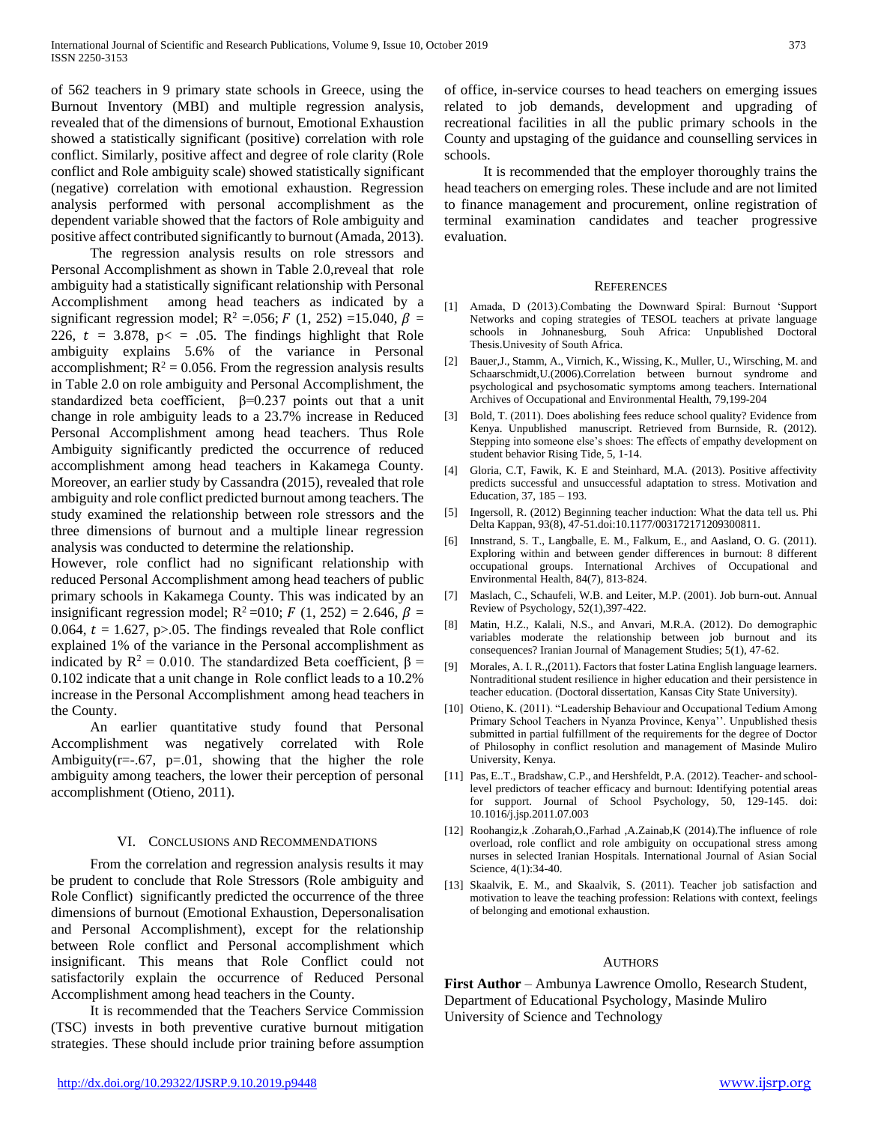of 562 teachers in 9 primary state schools in Greece, using the Burnout Inventory (MBI) and multiple regression analysis, revealed that of the dimensions of burnout, Emotional Exhaustion showed a statistically significant (positive) correlation with role conflict. Similarly, positive affect and degree of role clarity (Role conflict and Role ambiguity scale) showed statistically significant (negative) correlation with emotional exhaustion. Regression analysis performed with personal accomplishment as the dependent variable showed that the factors of Role ambiguity and positive affect contributed significantly to burnout (Amada, 2013).

 The regression analysis results on role stressors and Personal Accomplishment as shown in Table 2.0,reveal that role ambiguity had a statistically significant relationship with Personal Accomplishment among head teachers as indicated by a significant regression model;  $R^2 = 0.056$ ;  $F(1, 252) = 15.040$ ,  $\beta =$ 226,  $t = 3.878$ ,  $p \le 0.05$ . The findings highlight that Role ambiguity explains 5.6% of the variance in Personal accomplishment;  $R^2 = 0.056$ . From the regression analysis results in Table 2.0 on role ambiguity and Personal Accomplishment, the standardized beta coefficient,  $\beta = 0.237$  points out that a unit change in role ambiguity leads to a 23.7% increase in Reduced Personal Accomplishment among head teachers. Thus Role Ambiguity significantly predicted the occurrence of reduced accomplishment among head teachers in Kakamega County. Moreover, an earlier study by Cassandra (2015), revealed that role ambiguity and role conflict predicted burnout among teachers. The study examined the relationship between role stressors and the three dimensions of burnout and a multiple linear regression analysis was conducted to determine the relationship.

However, role conflict had no significant relationship with reduced Personal Accomplishment among head teachers of public primary schools in Kakamega County. This was indicated by an insignificant regression model;  $R^2$ =010; F (1, 252) = 2.646,  $\beta$  = 0.064,  $t = 1.627$ , p>.05. The findings revealed that Role conflict explained 1% of the variance in the Personal accomplishment as indicated by  $R^2 = 0.010$ . The standardized Beta coefficient,  $\beta =$ 0.102 indicate that a unit change in Role conflict leads to a 10.2% increase in the Personal Accomplishment among head teachers in the County.

 An earlier quantitative study found that Personal Accomplishment was negatively correlated with Role Ambiguity( $r=-.67$ ,  $p=.01$ , showing that the higher the role ambiguity among teachers, the lower their perception of personal accomplishment (Otieno, 2011).

## VI. CONCLUSIONS AND RECOMMENDATIONS

 From the correlation and regression analysis results it may be prudent to conclude that Role Stressors (Role ambiguity and Role Conflict) significantly predicted the occurrence of the three dimensions of burnout (Emotional Exhaustion, Depersonalisation and Personal Accomplishment), except for the relationship between Role conflict and Personal accomplishment which insignificant. This means that Role Conflict could not satisfactorily explain the occurrence of Reduced Personal Accomplishment among head teachers in the County.

 It is recommended that the Teachers Service Commission (TSC) invests in both preventive curative burnout mitigation strategies. These should include prior training before assumption

of office, in-service courses to head teachers on emerging issues related to job demands, development and upgrading of recreational facilities in all the public primary schools in the County and upstaging of the guidance and counselling services in schools.

 It is recommended that the employer thoroughly trains the head teachers on emerging roles. These include and are not limited to finance management and procurement, online registration of terminal examination candidates and teacher progressive evaluation.

### **REFERENCES**

- [1] Amada, D (2013).Combating the Downward Spiral: Burnout 'Support Networks and coping strategies of TESOL teachers at private language schools in Johnanesburg, Souh Africa: Unpublished Doctoral Thesis.Univesity of South Africa.
- [2] Bauer,J., Stamm, A., Virnich, K., Wissing, K., Muller, U., Wirsching, M. and Schaarschmidt,U.(2006).Correlation between burnout syndrome and psychological and psychosomatic symptoms among teachers. International Archives of Occupational and Environmental Health, 79,199-204
- [3] Bold, T. (2011). Does abolishing fees reduce school quality? Evidence from Kenya. Unpublished manuscript. Retrieved from Burnside, R. (2012). Stepping into someone else's shoes: The effects of empathy development on student behavior Rising Tide, 5, 1-14.
- [4] Gloria, C.T, Fawik, K. E and Steinhard, M.A. (2013). Positive affectivity predicts successful and unsuccessful adaptation to stress. Motivation and Education, 37, 185 – 193.
- [5] Ingersoll, R. (2012) Beginning teacher induction: What the data tell us. Phi Delta Kappan, 93(8), 47-51.doi:10.1177/003172171209300811.
- [6] Innstrand, S. T., Langballe, E. M., Falkum, E., and Aasland, O. G. (2011). Exploring within and between gender differences in burnout: 8 different occupational groups. International Archives of Occupational and Environmental Health, 84(7), 813-824.
- [7] Maslach, C., Schaufeli, W.B. and Leiter, M.P. (2001). Job burn-out. Annual Review of Psychology, 52(1),397-422.
- [8] Matin, H.Z., Kalali, N.S., and Anvari, M.R.A. (2012). Do demographic variables moderate the relationship between job burnout and its consequences? Iranian Journal of Management Studies; 5(1), 47-62.
- [9] Morales, A. I. R.,(2011). Factors that foster Latina English language learners. Nontraditional student resilience in higher education and their persistence in teacher education. (Doctoral dissertation, Kansas City State University).
- [10] Otieno, K. (2011). "Leadership Behaviour and Occupational Tedium Among Primary School Teachers in Nyanza Province, Kenya''. Unpublished thesis submitted in partial fulfillment of the requirements for the degree of Doctor of Philosophy in conflict resolution and management of Masinde Muliro University, Kenya.
- [11] Pas, E..T., Bradshaw, C.P., and Hershfeldt, P.A. (2012). Teacher- and schoollevel predictors of teacher efficacy and burnout: Identifying potential areas for support. Journal of School Psychology, 50, 129-145. doi: 10.1016/j.jsp.2011.07.003
- [12] Roohangiz,k .Zoharah,O.,Farhad ,A.Zainab,K (2014).The influence of role overload, role conflict and role ambiguity on occupational stress among nurses in selected Iranian Hospitals. International Journal of Asian Social Science, 4(1):34-40.
- [13] Skaalvik, E. M., and Skaalvik, S. (2011). Teacher job satisfaction and motivation to leave the teaching profession: Relations with context, feelings of belonging and emotional exhaustion.

#### **AUTHORS**

**First Author** – Ambunya Lawrence Omollo, Research Student, Department of Educational Psychology, Masinde Muliro University of Science and Technology